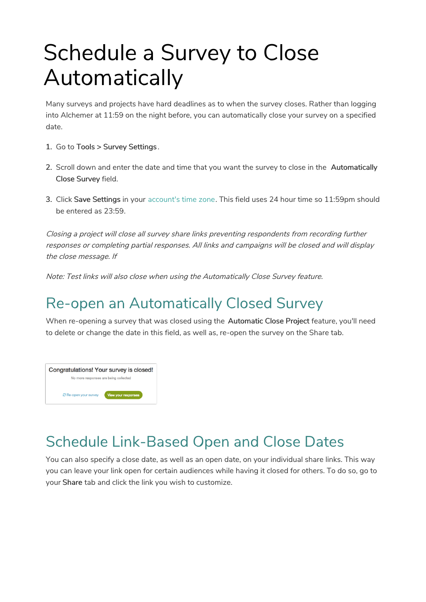## Schedule a Survey to Close Automatically

Many surveys and projects have hard deadlines as to when the survey closes. Rather than logging into Alchemer at 11:59 on the night before, you can automatically close your survey on a specified date.

- 1. Go to Tools > Survey Settings .
- 2. Scroll down and enter the date and time that you want the survey to close in the Automatically Close Survey field.
- 3. Click Save Settings in your account's time zone. This field uses 24 hour time so 11:59pm should be entered as 23:59.

Closing <sup>a</sup> project will close all survey share links preventing respondents from recording further responses or completing partial responses. All links and campaigns will be closed and will display the close message. If

Note: Test links will also close when using the Automatically Close Survey feature.

## Re-open an Automatically Closed Survey

When re-opening a survey that was closed using the Automatic Close Project feature, you'll need to delete or change the date in this field, as well as, re-open the survey on the Share tab.



## Schedule Link-Based Open and Close Dates

You can also specify a close date, as well as an open date, on your individual share links. This way you can leave your link open for certain audiences while having it closed for others. To do so, go to your Share tab and click the link you wish to customize.